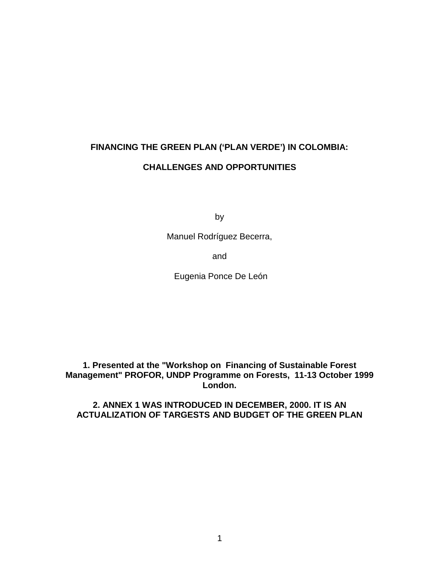# **FINANCING THE GREEN PLAN ('PLAN VERDE') IN COLOMBIA: CHALLENGES AND OPPORTUNITIES**

by

Manuel Rodríguez Becerra,

and

Eugenia Ponce De León

**1. Presented at the "Workshop on Financing of Sustainable Forest Management" PROFOR, UNDP Programme on Forests, 11-13 October 1999 London.**

**2. ANNEX 1 WAS INTRODUCED IN DECEMBER, 2000. IT IS AN ACTUALIZATION OF TARGESTS AND BUDGET OF THE GREEN PLAN**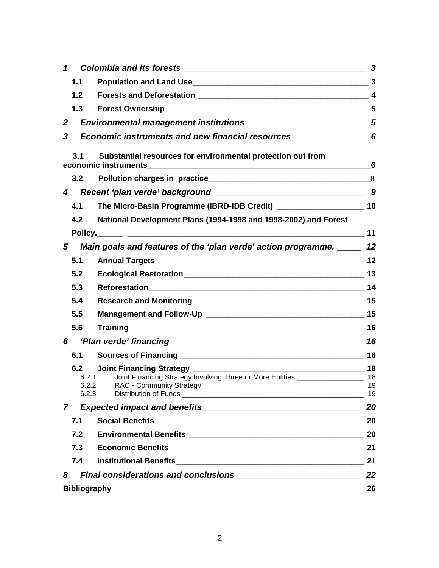| 1                                                                                            | 3        |
|----------------------------------------------------------------------------------------------|----------|
| 1.1                                                                                          |          |
| 1.2                                                                                          |          |
| 1.3                                                                                          |          |
| $\overline{2}$                                                                               |          |
| Economic instruments and new financial resources ________________________________ 6<br>3     |          |
| Substantial resources for environmental protection out from<br>3.1<br>economic instruments   | 6        |
| 3.2 <sub>2</sub>                                                                             |          |
| 4                                                                                            |          |
| 4.1                                                                                          |          |
| National Development Plans (1994-1998 and 1998-2002) and Forest<br>4.2                       |          |
|                                                                                              | 11       |
| Main goals and features of the 'plan verde' action programme. ______ 12<br>5                 |          |
| 5.1                                                                                          |          |
| 5.2                                                                                          |          |
| 5.3                                                                                          |          |
| 5.4                                                                                          |          |
| 5.5                                                                                          |          |
| 5.6                                                                                          |          |
| 6                                                                                            | 16       |
| 6.1                                                                                          |          |
| 6.2                                                                                          |          |
| Joint Financing Strategy Involving Three or More Entities.______________________ 18<br>6.2.1 |          |
| 6.2.2<br>6.2.3                                                                               | 19<br>19 |
| $\mathbf{7}$                                                                                 | 20       |
| 7.1                                                                                          | 20       |
| 7.2                                                                                          | 20       |
| 7.3                                                                                          | 21       |
| 7.4                                                                                          | 21       |
| 8                                                                                            | 22       |
|                                                                                              | 26       |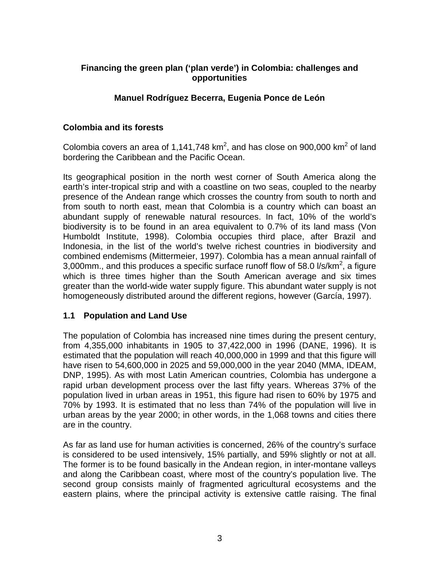# **Financing the green plan ('plan verde') in Colombia: challenges and opportunities**

#### **Manuel Rodríguez Becerra, Eugenia Ponce de León**

#### **Colombia and its forests**

Colombia covers an area of 1,141,748 km<sup>2</sup>, and has close on 900,000 km<sup>2</sup> of land bordering the Caribbean and the Pacific Ocean.

Its geographical position in the north west corner of South America along the earth's inter-tropical strip and with a coastline on two seas, coupled to the nearby presence of the Andean range which crosses the country from south to north and from south to north east, mean that Colombia is a country which can boast an abundant supply of renewable natural resources. In fact, 10% of the world's biodiversity is to be found in an area equivalent to 0.7% of its land mass (Von Humboldt Institute, 1998). Colombia occupies third place, after Brazil and Indonesia, in the list of the world's twelve richest countries in biodiversity and combined endemisms (Mittermeier, 1997). Colombia has a mean annual rainfall of 3,000mm., and this produces a specific surface runoff flow of 58.0 l/s/km<sup>2</sup>, a figure which is three times higher than the South American average and six times greater than the world-wide water supply figure. This abundant water supply is not homogeneously distributed around the different regions, however (García, 1997).

#### **1.1 Population and Land Use**

The population of Colombia has increased nine times during the present century, from 4,355,000 inhabitants in 1905 to 37,422,000 in 1996 (DANE, 1996). It is estimated that the population will reach 40,000,000 in 1999 and that this figure will have risen to 54,600,000 in 2025 and 59,000,000 in the year 2040 (MMA, IDEAM, DNP, 1995). As with most Latin American countries, Colombia has undergone a rapid urban development process over the last fifty years. Whereas 37% of the population lived in urban areas in 1951, this figure had risen to 60% by 1975 and 70% by 1993. It is estimated that no less than 74% of the population will live in urban areas by the year 2000; in other words, in the 1,068 towns and cities there are in the country.

As far as land use for human activities is concerned, 26% of the country's surface is considered to be used intensively, 15% partially, and 59% slightly or not at all. The former is to be found basically in the Andean region, in inter-montane valleys and along the Caribbean coast, where most of the country's population live. The second group consists mainly of fragmented agricultural ecosystems and the eastern plains, where the principal activity is extensive cattle raising. The final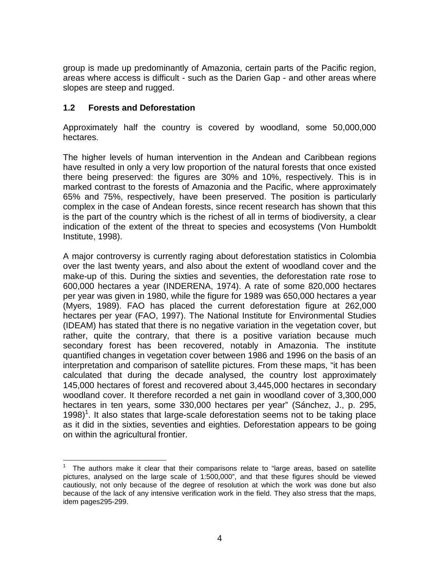group is made up predominantly of Amazonia, certain parts of the Pacific region, areas where access is difficult - such as the Darien Gap - and other areas where slopes are steep and rugged.

#### **1.2 Forests and Deforestation**

Approximately half the country is covered by woodland, some 50,000,000 hectares.

The higher levels of human intervention in the Andean and Caribbean regions have resulted in only a very low proportion of the natural forests that once existed there being preserved: the figures are 30% and 10%, respectively. This is in marked contrast to the forests of Amazonia and the Pacific, where approximately 65% and 75%, respectively, have been preserved. The position is particularly complex in the case of Andean forests, since recent research has shown that this is the part of the country which is the richest of all in terms of biodiversity, a clear indication of the extent of the threat to species and ecosystems (Von Humboldt Institute, 1998).

A major controversy is currently raging about deforestation statistics in Colombia over the last twenty years, and also about the extent of woodland cover and the make-up of this. During the sixties and seventies, the deforestation rate rose to 600,000 hectares a year (INDERENA, 1974). A rate of some 820,000 hectares per year was given in 1980, while the figure for 1989 was 650,000 hectares a year (Myers, 1989). FAO has placed the current deforestation figure at 262,000 hectares per year (FAO, 1997). The National Institute for Environmental Studies (IDEAM) has stated that there is no negative variation in the vegetation cover, but rather, quite the contrary, that there is a positive variation because much secondary forest has been recovered, notably in Amazonia. The institute quantified changes in vegetation cover between 1986 and 1996 on the basis of an interpretation and comparison of satellite pictures. From these maps, "it has been calculated that during the decade analysed, the country lost approximately 145,000 hectares of forest and recovered about 3,445,000 hectares in secondary woodland cover. It therefore recorded a net gain in woodland cover of 3,300,000 hectares in ten years, some 330,000 hectares per year" (Sánchez, J., p. 295,  $1998$ <sup>1</sup>. It also states that large-scale deforestation seems not to be taking place as it did in the sixties, seventies and eighties. Deforestation appears to be going on within the agricultural frontier.

 $\frac{1}{1}$  The authors make it clear that their comparisons relate to "large areas, based on satellite pictures, analysed on the large scale of 1:500,000", and that these figures should be viewed cautiously, not only because of the degree of resolution at which the work was done but also because of the lack of any intensive verification work in the field. They also stress that the maps, idem pages295-299.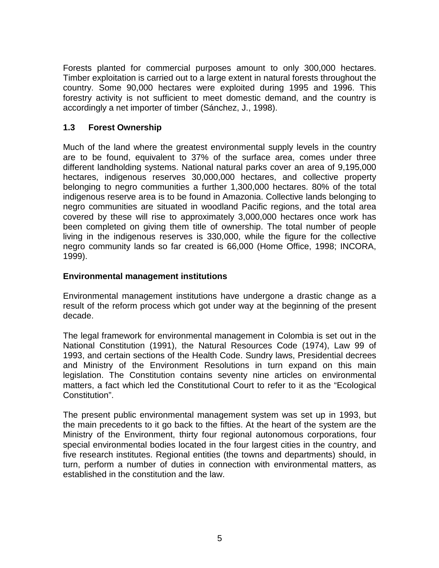Forests planted for commercial purposes amount to only 300,000 hectares. Timber exploitation is carried out to a large extent in natural forests throughout the country. Some 90,000 hectares were exploited during 1995 and 1996. This forestry activity is not sufficient to meet domestic demand, and the country is accordingly a net importer of timber (Sánchez, J., 1998).

## **1.3 Forest Ownership**

Much of the land where the greatest environmental supply levels in the country are to be found, equivalent to 37% of the surface area, comes under three different landholding systems. National natural parks cover an area of 9,195,000 hectares, indigenous reserves 30,000,000 hectares, and collective property belonging to negro communities a further 1,300,000 hectares. 80% of the total indigenous reserve area is to be found in Amazonia. Collective lands belonging to negro communities are situated in woodland Pacific regions, and the total area covered by these will rise to approximately 3,000,000 hectares once work has been completed on giving them title of ownership. The total number of people living in the indigenous reserves is 330,000, while the figure for the collective negro community lands so far created is 66,000 (Home Office, 1998; INCORA, 1999).

#### **Environmental management institutions**

Environmental management institutions have undergone a drastic change as a result of the reform process which got under way at the beginning of the present decade.

The legal framework for environmental management in Colombia is set out in the National Constitution (1991), the Natural Resources Code (1974), Law 99 of 1993, and certain sections of the Health Code. Sundry laws, Presidential decrees and Ministry of the Environment Resolutions in turn expand on this main legislation. The Constitution contains seventy nine articles on environmental matters, a fact which led the Constitutional Court to refer to it as the "Ecological Constitution".

The present public environmental management system was set up in 1993, but the main precedents to it go back to the fifties. At the heart of the system are the Ministry of the Environment, thirty four regional autonomous corporations, four special environmental bodies located in the four largest cities in the country, and five research institutes. Regional entities (the towns and departments) should, in turn, perform a number of duties in connection with environmental matters, as established in the constitution and the law.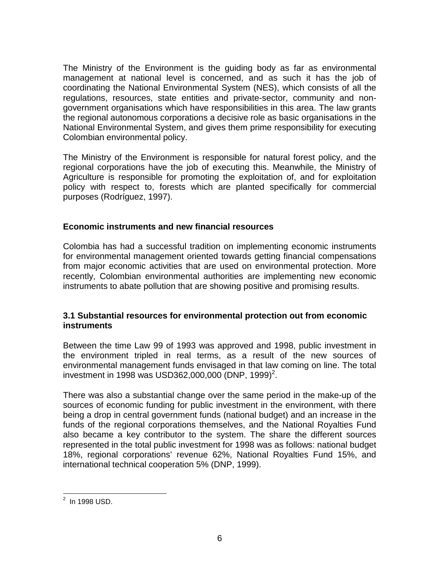The Ministry of the Environment is the guiding body as far as environmental management at national level is concerned, and as such it has the job of coordinating the National Environmental System (NES), which consists of all the regulations, resources, state entities and private-sector, community and nongovernment organisations which have responsibilities in this area. The law grants the regional autonomous corporations a decisive role as basic organisations in the National Environmental System, and gives them prime responsibility for executing Colombian environmental policy.

The Ministry of the Environment is responsible for natural forest policy, and the regional corporations have the job of executing this. Meanwhile, the Ministry of Agriculture is responsible for promoting the exploitation of, and for exploitation policy with respect to, forests which are planted specifically for commercial purposes (Rodríguez, 1997).

#### **Economic instruments and new financial resources**

Colombia has had a successful tradition on implementing economic instruments for environmental management oriented towards getting financial compensations from major economic activities that are used on environmental protection. More recently, Colombian environmental authorities are implementing new economic instruments to abate pollution that are showing positive and promising results.

#### **3.1 Substantial resources for environmental protection out from economic instruments**

Between the time Law 99 of 1993 was approved and 1998, public investment in the environment tripled in real terms, as a result of the new sources of environmental management funds envisaged in that law coming on line. The total investment in 1998 was USD362,000,000 (DNP, 1999)<sup>2</sup>.

There was also a substantial change over the same period in the make-up of the sources of economic funding for public investment in the environment, with there being a drop in central government funds (national budget) and an increase in the funds of the regional corporations themselves, and the National Royalties Fund also became a key contributor to the system. The share the different sources represented in the total public investment for 1998 was as follows: national budget 18%, regional corporations' revenue 62%, National Royalties Fund 15%, and international technical cooperation 5% (DNP, 1999).

 <sup>2</sup> In 1998 USD.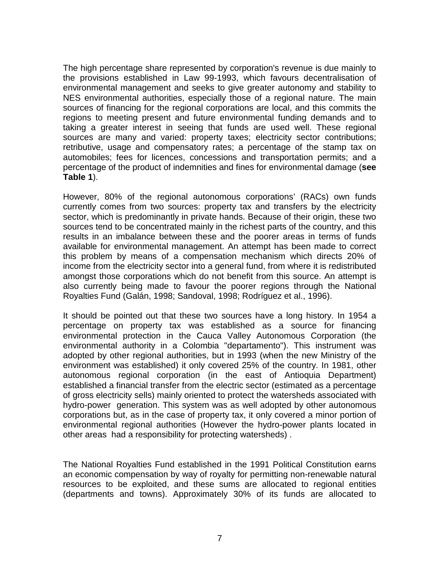The high percentage share represented by corporation's revenue is due mainly to the provisions established in Law 99-1993, which favours decentralisation of environmental management and seeks to give greater autonomy and stability to NES environmental authorities, especially those of a regional nature. The main sources of financing for the regional corporations are local, and this commits the regions to meeting present and future environmental funding demands and to taking a greater interest in seeing that funds are used well. These regional sources are many and varied: property taxes; electricity sector contributions; retributive, usage and compensatory rates; a percentage of the stamp tax on automobiles; fees for licences, concessions and transportation permits; and a percentage of the product of indemnities and fines for environmental damage (**see Table 1**).

However, 80% of the regional autonomous corporations' (RACs) own funds currently comes from two sources: property tax and transfers by the electricity sector, which is predominantly in private hands. Because of their origin, these two sources tend to be concentrated mainly in the richest parts of the country, and this results in an imbalance between these and the poorer areas in terms of funds available for environmental management. An attempt has been made to correct this problem by means of a compensation mechanism which directs 20% of income from the electricity sector into a general fund, from where it is redistributed amongst those corporations which do not benefit from this source. An attempt is also currently being made to favour the poorer regions through the National Royalties Fund (Galán, 1998; Sandoval, 1998; Rodríguez et al., 1996).

It should be pointed out that these two sources have a long history. In 1954 a percentage on property tax was established as a source for financing environmental protection in the Cauca Valley Autonomous Corporation (the environmental authority in a Colombia "departamento"). This instrument was adopted by other regional authorities, but in 1993 (when the new Ministry of the environment was established) it only covered 25% of the country. In 1981, other autonomous regional corporation (in the east of Antioquia Department) established a financial transfer from the electric sector (estimated as a percentage of gross electricity sells) mainly oriented to protect the watersheds associated with hydro-power generation. This system was as well adopted by other autonomous corporations but, as in the case of property tax, it only covered a minor portion of environmental regional authorities (However the hydro-power plants located in other areas had a responsibility for protecting watersheds) .

The National Royalties Fund established in the 1991 Political Constitution earns an economic compensation by way of royalty for permitting non-renewable natural resources to be exploited, and these sums are allocated to regional entities (departments and towns). Approximately 30% of its funds are allocated to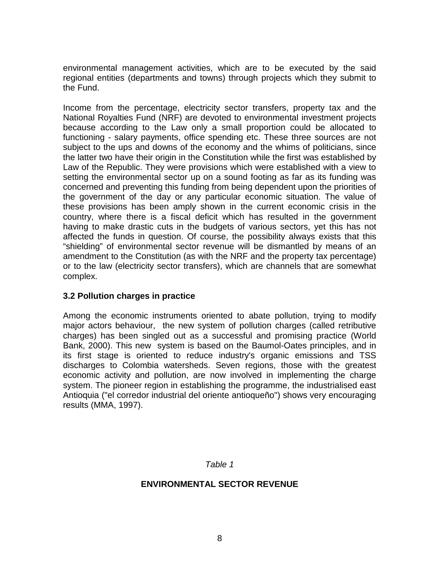environmental management activities, which are to be executed by the said regional entities (departments and towns) through projects which they submit to the Fund.

Income from the percentage, electricity sector transfers, property tax and the National Royalties Fund (NRF) are devoted to environmental investment projects because according to the Law only a small proportion could be allocated to functioning - salary payments, office spending etc. These three sources are not subject to the ups and downs of the economy and the whims of politicians, since the latter two have their origin in the Constitution while the first was established by Law of the Republic. They were provisions which were established with a view to setting the environmental sector up on a sound footing as far as its funding was concerned and preventing this funding from being dependent upon the priorities of the government of the day or any particular economic situation. The value of these provisions has been amply shown in the current economic crisis in the country, where there is a fiscal deficit which has resulted in the government having to make drastic cuts in the budgets of various sectors, yet this has not affected the funds in question. Of course, the possibility always exists that this "shielding" of environmental sector revenue will be dismantled by means of an amendment to the Constitution (as with the NRF and the property tax percentage) or to the law (electricity sector transfers), which are channels that are somewhat complex.

#### **3.2 Pollution charges in practice**

Among the economic instruments oriented to abate pollution, trying to modify major actors behaviour, the new system of pollution charges (called retributive charges) has been singled out as a successful and promising practice (World Bank, 2000). This new system is based on the Baumol-Oates principles, and in its first stage is oriented to reduce industry's organic emissions and TSS discharges to Colombia watersheds. Seven regions, those with the greatest economic activity and pollution, are now involved in implementing the charge system. The pioneer region in establishing the programme, the industrialised east Antioquia ("el corredor industrial del oriente antioqueño") shows very encouraging results (MMA, 1997).

#### *Table 1*

#### **ENVIRONMENTAL SECTOR REVENUE**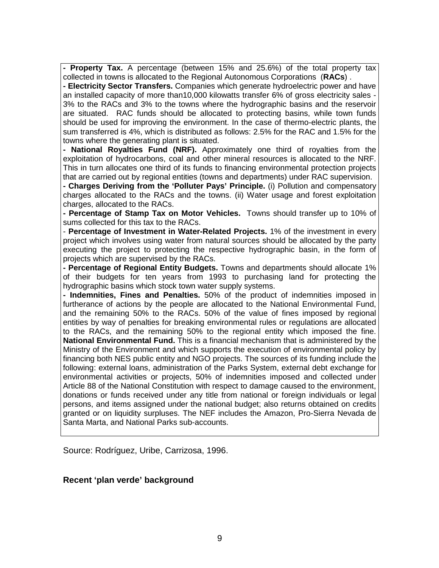**- Property Tax.** A percentage (between 15% and 25.6%) of the total property tax collected in towns is allocated to the Regional Autonomous Corporations (**RACs**) .

**- Electricity Sector Transfers.** Companies which generate hydroelectric power and have an installed capacity of more than10,000 kilowatts transfer 6% of gross electricity sales - 3% to the RACs and 3% to the towns where the hydrographic basins and the reservoir are situated. RAC funds should be allocated to protecting basins, while town funds should be used for improving the environment. In the case of thermo-electric plants, the sum transferred is 4%, which is distributed as follows: 2.5% for the RAC and 1.5% for the towns where the generating plant is situated.

**- National Royalties Fund (NRF).** Approximately one third of royalties from the exploitation of hydrocarbons, coal and other mineral resources is allocated to the NRF. This in turn allocates one third of its funds to financing environmental protection projects that are carried out by regional entities (towns and departments) under RAC supervision.

**- Charges Deriving from the 'Polluter Pays' Principle.** (i) Pollution and compensatory charges allocated to the RACs and the towns. (ii) Water usage and forest exploitation charges, allocated to the RACs.

**- Percentage of Stamp Tax on Motor Vehicles.** Towns should transfer up to 10% of sums collected for this tax to the RACs.

- **Percentage of Investment in Water-Related Projects.** 1% of the investment in every project which involves using water from natural sources should be allocated by the party executing the project to protecting the respective hydrographic basin, in the form of projects which are supervised by the RACs.

**- Percentage of Regional Entity Budgets.** Towns and departments should allocate 1% of their budgets for ten years from 1993 to purchasing land for protecting the hydrographic basins which stock town water supply systems.

**- Indemnities, Fines and Penalties.** 50% of the product of indemnities imposed in furtherance of actions by the people are allocated to the National Environmental Fund, and the remaining 50% to the RACs. 50% of the value of fines imposed by regional entities by way of penalties for breaking environmental rules or regulations are allocated to the RACs, and the remaining 50% to the regional entity which imposed the fine. **National Environmental Fund.** This is a financial mechanism that is administered by the Ministry of the Environment and which supports the execution of environmental policy by financing both NES public entity and NGO projects. The sources of its funding include the following: external loans, administration of the Parks System, external debt exchange for environmental activities or projects, 50% of indemnities imposed and collected under Article 88 of the National Constitution with respect to damage caused to the environment, donations or funds received under any title from national or foreign individuals or legal persons, and items assigned under the national budget; also returns obtained on credits granted or on liquidity surpluses. The NEF includes the Amazon, Pro-Sierra Nevada de Santa Marta, and National Parks sub-accounts.

Source: Rodríguez, Uribe, Carrizosa, 1996.

#### **Recent 'plan verde' background**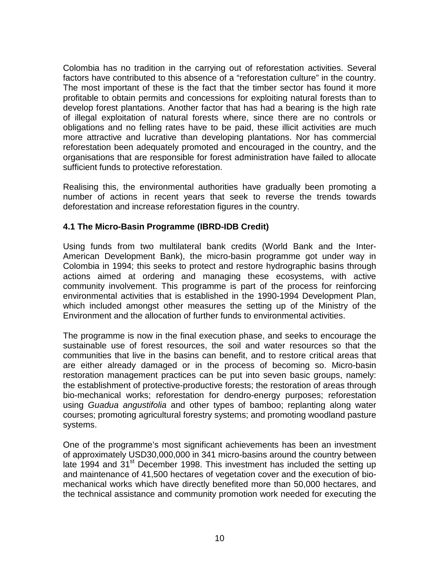Colombia has no tradition in the carrying out of reforestation activities. Several factors have contributed to this absence of a "reforestation culture" in the country. The most important of these is the fact that the timber sector has found it more profitable to obtain permits and concessions for exploiting natural forests than to develop forest plantations. Another factor that has had a bearing is the high rate of illegal exploitation of natural forests where, since there are no controls or obligations and no felling rates have to be paid, these illicit activities are much more attractive and lucrative than developing plantations. Nor has commercial reforestation been adequately promoted and encouraged in the country, and the organisations that are responsible for forest administration have failed to allocate sufficient funds to protective reforestation.

Realising this, the environmental authorities have gradually been promoting a number of actions in recent years that seek to reverse the trends towards deforestation and increase reforestation figures in the country.

#### **4.1 The Micro-Basin Programme (IBRD-IDB Credit)**

Using funds from two multilateral bank credits (World Bank and the Inter-American Development Bank), the micro-basin programme got under way in Colombia in 1994; this seeks to protect and restore hydrographic basins through actions aimed at ordering and managing these ecosystems, with active community involvement. This programme is part of the process for reinforcing environmental activities that is established in the 1990-1994 Development Plan, which included amongst other measures the setting up of the Ministry of the Environment and the allocation of further funds to environmental activities.

The programme is now in the final execution phase, and seeks to encourage the sustainable use of forest resources, the soil and water resources so that the communities that live in the basins can benefit, and to restore critical areas that are either already damaged or in the process of becoming so. Micro-basin restoration management practices can be put into seven basic groups, namely: the establishment of protective-productive forests; the restoration of areas through bio-mechanical works; reforestation for dendro-energy purposes; reforestation using *Guadua angustifolia* and other types of bamboo; replanting along water courses; promoting agricultural forestry systems; and promoting woodland pasture systems.

One of the programme's most significant achievements has been an investment of approximately USD30,000,000 in 341 micro-basins around the country between late 1994 and 31<sup>st</sup> December 1998. This investment has included the setting up and maintenance of 41,500 hectares of vegetation cover and the execution of biomechanical works which have directly benefited more than 50,000 hectares, and the technical assistance and community promotion work needed for executing the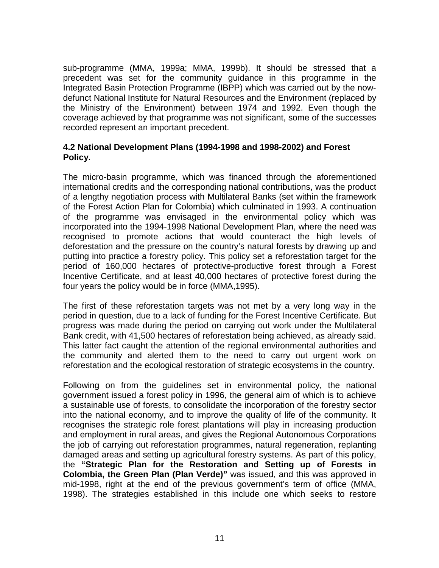sub-programme (MMA, 1999a; MMA, 1999b). It should be stressed that a precedent was set for the community guidance in this programme in the Integrated Basin Protection Programme (IBPP) which was carried out by the nowdefunct National Institute for Natural Resources and the Environment (replaced by the Ministry of the Environment) between 1974 and 1992. Even though the coverage achieved by that programme was not significant, some of the successes recorded represent an important precedent.

#### **4.2 National Development Plans (1994-1998 and 1998-2002) and Forest Policy.**

The micro-basin programme, which was financed through the aforementioned international credits and the corresponding national contributions, was the product of a lengthy negotiation process with Multilateral Banks (set within the framework of the Forest Action Plan for Colombia) which culminated in 1993. A continuation of the programme was envisaged in the environmental policy which was incorporated into the 1994-1998 National Development Plan, where the need was recognised to promote actions that would counteract the high levels of deforestation and the pressure on the country's natural forests by drawing up and putting into practice a forestry policy. This policy set a reforestation target for the period of 160,000 hectares of protective-productive forest through a Forest Incentive Certificate, and at least 40,000 hectares of protective forest during the four years the policy would be in force (MMA,1995).

The first of these reforestation targets was not met by a very long way in the period in question, due to a lack of funding for the Forest Incentive Certificate. But progress was made during the period on carrying out work under the Multilateral Bank credit, with 41,500 hectares of reforestation being achieved, as already said. This latter fact caught the attention of the regional environmental authorities and the community and alerted them to the need to carry out urgent work on reforestation and the ecological restoration of strategic ecosystems in the country.

Following on from the guidelines set in environmental policy, the national government issued a forest policy in 1996, the general aim of which is to achieve a sustainable use of forests, to consolidate the incorporation of the forestry sector into the national economy, and to improve the quality of life of the community. It recognises the strategic role forest plantations will play in increasing production and employment in rural areas, and gives the Regional Autonomous Corporations the job of carrying out reforestation programmes, natural regeneration, replanting damaged areas and setting up agricultural forestry systems. As part of this policy, the **"Strategic Plan for the Restoration and Setting up of Forests in Colombia, the Green Plan (Plan Verde)"** was issued, and this was approved in mid-1998, right at the end of the previous government's term of office (MMA, 1998). The strategies established in this include one which seeks to restore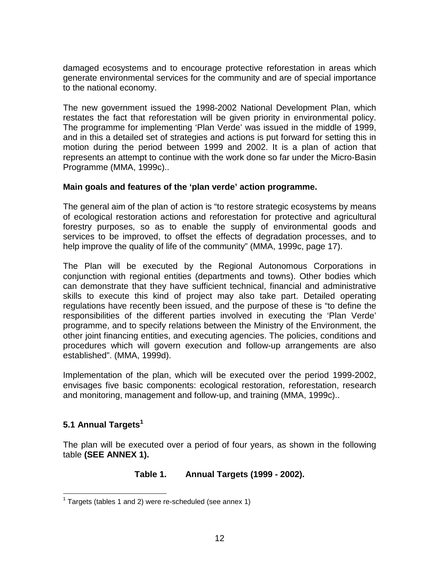damaged ecosystems and to encourage protective reforestation in areas which generate environmental services for the community and are of special importance to the national economy.

The new government issued the 1998-2002 National Development Plan, which restates the fact that reforestation will be given priority in environmental policy. The programme for implementing 'Plan Verde' was issued in the middle of 1999, and in this a detailed set of strategies and actions is put forward for setting this in motion during the period between 1999 and 2002. It is a plan of action that represents an attempt to continue with the work done so far under the Micro-Basin Programme (MMA, 1999c)..

#### **Main goals and features of the 'plan verde' action programme.**

The general aim of the plan of action is "to restore strategic ecosystems by means of ecological restoration actions and reforestation for protective and agricultural forestry purposes, so as to enable the supply of environmental goods and services to be improved, to offset the effects of degradation processes, and to help improve the quality of life of the community" (MMA, 1999c, page 17).

The Plan will be executed by the Regional Autonomous Corporations in conjunction with regional entities (departments and towns). Other bodies which can demonstrate that they have sufficient technical, financial and administrative skills to execute this kind of project may also take part. Detailed operating regulations have recently been issued, and the purpose of these is "to define the responsibilities of the different parties involved in executing the 'Plan Verde' programme, and to specify relations between the Ministry of the Environment, the other joint financing entities, and executing agencies. The policies, conditions and procedures which will govern execution and follow-up arrangements are also established". (MMA, 1999d).

Implementation of the plan, which will be executed over the period 1999-2002, envisages five basic components: ecological restoration, reforestation, research and monitoring, management and follow-up, and training (MMA, 1999c)..

# **5.1 Annual Targets<sup>1</sup>**

The plan will be executed over a period of four years, as shown in the following table **(SEE ANNEX 1).**

# **Table 1. Annual Targets (1999 - 2002).**

 $1$  Targets (tables 1 and 2) were re-scheduled (see annex 1)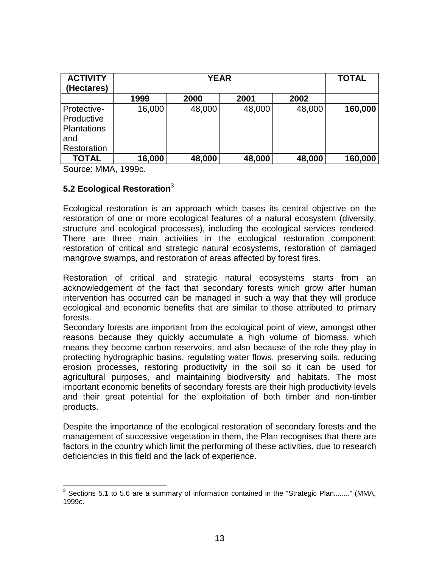| <b>ACTIVITY</b><br>(Hectares)                                         | <b>YEAR</b> |        |        | <b>TOTAL</b> |         |
|-----------------------------------------------------------------------|-------------|--------|--------|--------------|---------|
|                                                                       | 1999        | 2000   | 2001   | 2002         |         |
| Protective-<br>Productive<br><b>Plantations</b><br>and<br>Restoration | 16,000      | 48,000 | 48,000 | 48,000       | 160,000 |
| <b>TOTAL</b>                                                          | 16,000      | 48,000 | 48,000 | 48,000       | 160,000 |

Source: MMA, 1999c.

# **5.2 Ecological Restoration**<sup>3</sup>

Ecological restoration is an approach which bases its central objective on the restoration of one or more ecological features of a natural ecosystem (diversity, structure and ecological processes), including the ecological services rendered. There are three main activities in the ecological restoration component: restoration of critical and strategic natural ecosystems, restoration of damaged mangrove swamps, and restoration of areas affected by forest fires.

Restoration of critical and strategic natural ecosystems starts from an acknowledgement of the fact that secondary forests which grow after human intervention has occurred can be managed in such a way that they will produce ecological and economic benefits that are similar to those attributed to primary forests.

Secondary forests are important from the ecological point of view, amongst other reasons because they quickly accumulate a high volume of biomass, which means they become carbon reservoirs, and also because of the role they play in protecting hydrographic basins, regulating water flows, preserving soils, reducing erosion processes, restoring productivity in the soil so it can be used for agricultural purposes, and maintaining biodiversity and habitats. The most important economic benefits of secondary forests are their high productivity levels and their great potential for the exploitation of both timber and non-timber products.

Despite the importance of the ecological restoration of secondary forests and the management of successive vegetation in them, the Plan recognises that there are factors in the country which limit the performing of these activities, due to research deficiencies in this field and the lack of experience.

 $3$  Sections 5.1 to 5.6 are a summary of information contained in the "Strategic Plan........" (MMA, 1999c.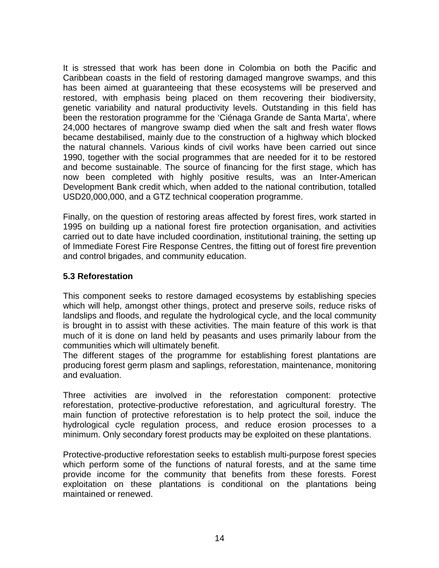It is stressed that work has been done in Colombia on both the Pacific and Caribbean coasts in the field of restoring damaged mangrove swamps, and this has been aimed at guaranteeing that these ecosystems will be preserved and restored, with emphasis being placed on them recovering their biodiversity, genetic variability and natural productivity levels. Outstanding in this field has been the restoration programme for the 'Ciénaga Grande de Santa Marta', where 24,000 hectares of mangrove swamp died when the salt and fresh water flows became destabilised, mainly due to the construction of a highway which blocked the natural channels. Various kinds of civil works have been carried out since 1990, together with the social programmes that are needed for it to be restored and become sustainable. The source of financing for the first stage, which has now been completed with highly positive results, was an Inter-American Development Bank credit which, when added to the national contribution, totalled USD20,000,000, and a GTZ technical cooperation programme.

Finally, on the question of restoring areas affected by forest fires, work started in 1995 on building up a national forest fire protection organisation, and activities carried out to date have included coordination, institutional training, the setting up of Immediate Forest Fire Response Centres, the fitting out of forest fire prevention and control brigades, and community education.

#### **5.3 Reforestation**

This component seeks to restore damaged ecosystems by establishing species which will help, amongst other things, protect and preserve soils, reduce risks of landslips and floods, and regulate the hydrological cycle, and the local community is brought in to assist with these activities. The main feature of this work is that much of it is done on land held by peasants and uses primarily labour from the communities which will ultimately benefit.

The different stages of the programme for establishing forest plantations are producing forest germ plasm and saplings, reforestation, maintenance, monitoring and evaluation.

Three activities are involved in the reforestation component: protective reforestation, protective-productive reforestation, and agricultural forestry. The main function of protective reforestation is to help protect the soil, induce the hydrological cycle regulation process, and reduce erosion processes to a minimum. Only secondary forest products may be exploited on these plantations.

Protective-productive reforestation seeks to establish multi-purpose forest species which perform some of the functions of natural forests, and at the same time provide income for the community that benefits from these forests. Forest exploitation on these plantations is conditional on the plantations being maintained or renewed.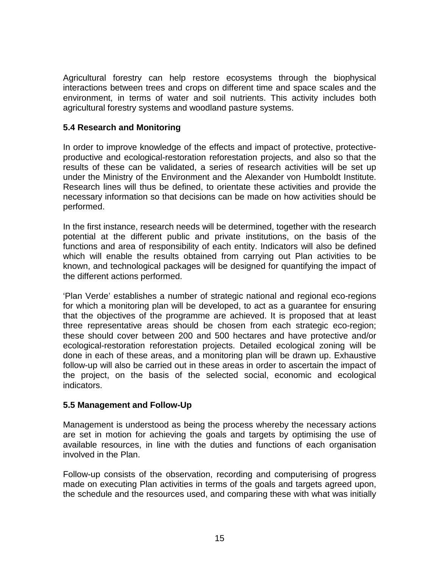Agricultural forestry can help restore ecosystems through the biophysical interactions between trees and crops on different time and space scales and the environment, in terms of water and soil nutrients. This activity includes both agricultural forestry systems and woodland pasture systems.

#### **5.4 Research and Monitoring**

In order to improve knowledge of the effects and impact of protective, protectiveproductive and ecological-restoration reforestation projects, and also so that the results of these can be validated, a series of research activities will be set up under the Ministry of the Environment and the Alexander von Humboldt Institute. Research lines will thus be defined, to orientate these activities and provide the necessary information so that decisions can be made on how activities should be performed.

In the first instance, research needs will be determined, together with the research potential at the different public and private institutions, on the basis of the functions and area of responsibility of each entity. Indicators will also be defined which will enable the results obtained from carrying out Plan activities to be known, and technological packages will be designed for quantifying the impact of the different actions performed.

'Plan Verde' establishes a number of strategic national and regional eco-regions for which a monitoring plan will be developed, to act as a guarantee for ensuring that the objectives of the programme are achieved. It is proposed that at least three representative areas should be chosen from each strategic eco-region; these should cover between 200 and 500 hectares and have protective and/or ecological-restoration reforestation projects. Detailed ecological zoning will be done in each of these areas, and a monitoring plan will be drawn up. Exhaustive follow-up will also be carried out in these areas in order to ascertain the impact of the project, on the basis of the selected social, economic and ecological indicators.

#### **5.5 Management and Follow-Up**

Management is understood as being the process whereby the necessary actions are set in motion for achieving the goals and targets by optimising the use of available resources, in line with the duties and functions of each organisation involved in the Plan.

Follow-up consists of the observation, recording and computerising of progress made on executing Plan activities in terms of the goals and targets agreed upon, the schedule and the resources used, and comparing these with what was initially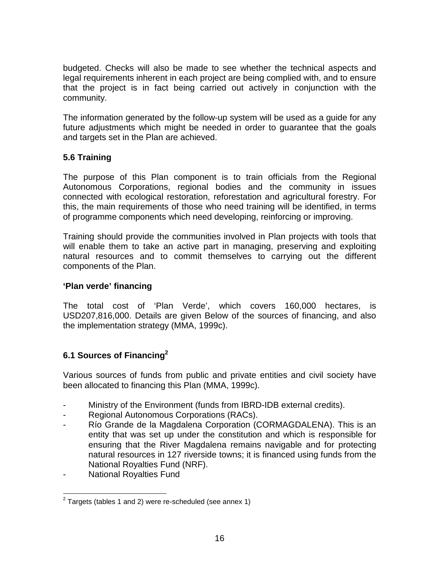budgeted. Checks will also be made to see whether the technical aspects and legal requirements inherent in each project are being complied with, and to ensure that the project is in fact being carried out actively in conjunction with the community.

The information generated by the follow-up system will be used as a guide for any future adjustments which might be needed in order to guarantee that the goals and targets set in the Plan are achieved.

# **5.6 Training**

The purpose of this Plan component is to train officials from the Regional Autonomous Corporations, regional bodies and the community in issues connected with ecological restoration, reforestation and agricultural forestry. For this, the main requirements of those who need training will be identified, in terms of programme components which need developing, reinforcing or improving.

Training should provide the communities involved in Plan projects with tools that will enable them to take an active part in managing, preserving and exploiting natural resources and to commit themselves to carrying out the different components of the Plan.

# **'Plan verde' financing**

The total cost of 'Plan Verde', which covers 160,000 hectares, is USD207,816,000. Details are given Below of the sources of financing, and also the implementation strategy (MMA, 1999c).

# **6.1 Sources of Financing2**

Various sources of funds from public and private entities and civil society have been allocated to financing this Plan (MMA, 1999c).

- Ministry of the Environment (funds from IBRD-IDB external credits).
- Regional Autonomous Corporations (RACs).
- Río Grande de la Magdalena Corporation (CORMAGDALENA). This is an entity that was set up under the constitution and which is responsible for ensuring that the River Magdalena remains navigable and for protecting natural resources in 127 riverside towns; it is financed using funds from the National Royalties Fund (NRF).
- National Royalties Fund

 $2$  Targets (tables 1 and 2) were re-scheduled (see annex 1)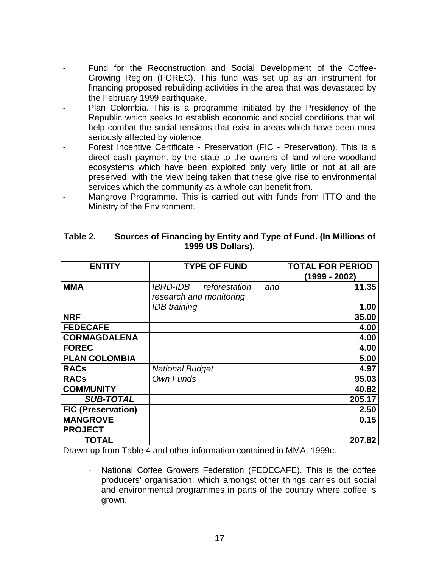- Fund for the Reconstruction and Social Development of the Coffee-Growing Region (FOREC). This fund was set up as an instrument for financing proposed rebuilding activities in the area that was devastated by the February 1999 earthquake.
- Plan Colombia. This is a programme initiated by the Presidency of the Republic which seeks to establish economic and social conditions that will help combat the social tensions that exist in areas which have been most seriously affected by violence.
- Forest Incentive Certificate Preservation (FIC Preservation). This is a direct cash payment by the state to the owners of land where woodland ecosystems which have been exploited only very little or not at all are preserved, with the view being taken that these give rise to environmental services which the community as a whole can benefit from.
- Mangrove Programme. This is carried out with funds from ITTO and the Ministry of the Environment.

| <b>ENTITY</b>             | <b>TYPE OF FUND</b>                                                       | <b>TOTAL FOR PERIOD</b><br>(1999 - 2002) |
|---------------------------|---------------------------------------------------------------------------|------------------------------------------|
| <b>MMA</b>                | <i><b>IBRD-IDB</b></i><br>reforestation<br>and<br>research and monitoring | 11.35                                    |
|                           | <b>IDB</b> training                                                       | 1.00                                     |
| <b>NRF</b>                |                                                                           | 35.00                                    |
| <b>FEDECAFE</b>           |                                                                           | 4.00                                     |
| <b>CORMAGDALENA</b>       |                                                                           | 4.00                                     |
| <b>FOREC</b>              |                                                                           | 4.00                                     |
| <b>PLAN COLOMBIA</b>      |                                                                           | 5.00                                     |
| <b>RACs</b>               | <b>National Budget</b>                                                    | 4.97                                     |
| <b>RACs</b>               | Own Funds                                                                 | 95.03                                    |
| <b>COMMUNITY</b>          |                                                                           | 40.82                                    |
| <b>SUB-TOTAL</b>          |                                                                           | 205.17                                   |
| <b>FIC (Preservation)</b> |                                                                           | 2.50                                     |
| <b>MANGROVE</b>           |                                                                           | 0.15                                     |
| <b>PROJECT</b>            |                                                                           |                                          |
| TOTAL                     |                                                                           | 207.82                                   |

#### **Table 2. Sources of Financing by Entity and Type of Fund. (In Millions of 1999 US Dollars).**

Drawn up from Table 4 and other information contained in MMA, 1999c.

- National Coffee Growers Federation (FEDECAFE). This is the coffee producers' organisation, which amongst other things carries out social and environmental programmes in parts of the country where coffee is grown.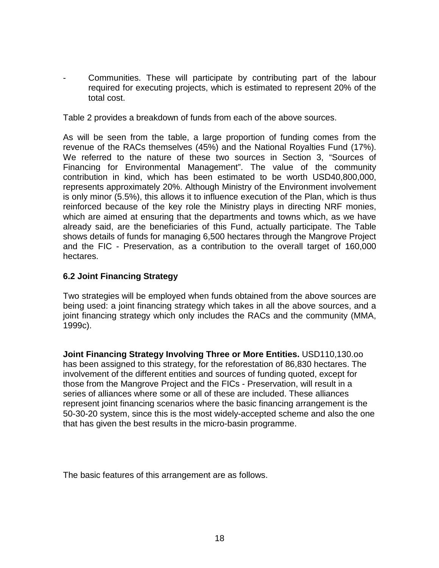Communities. These will participate by contributing part of the labour required for executing projects, which is estimated to represent 20% of the total cost.

Table 2 provides a breakdown of funds from each of the above sources.

As will be seen from the table, a large proportion of funding comes from the revenue of the RACs themselves (45%) and the National Royalties Fund (17%). We referred to the nature of these two sources in Section 3, "Sources of Financing for Environmental Management". The value of the community contribution in kind, which has been estimated to be worth USD40,800,000, represents approximately 20%. Although Ministry of the Environment involvement is only minor (5.5%), this allows it to influence execution of the Plan, which is thus reinforced because of the key role the Ministry plays in directing NRF monies, which are aimed at ensuring that the departments and towns which, as we have already said, are the beneficiaries of this Fund, actually participate. The Table shows details of funds for managing 6,500 hectares through the Mangrove Project and the FIC - Preservation, as a contribution to the overall target of 160,000 hectares.

#### **6.2 Joint Financing Strategy**

Two strategies will be employed when funds obtained from the above sources are being used: a joint financing strategy which takes in all the above sources, and a joint financing strategy which only includes the RACs and the community (MMA, 1999c).

**Joint Financing Strategy Involving Three or More Entities.** USD110,130.oo has been assigned to this strategy, for the reforestation of 86,830 hectares. The involvement of the different entities and sources of funding quoted, except for those from the Mangrove Project and the FICs - Preservation, will result in a series of alliances where some or all of these are included. These alliances represent joint financing scenarios where the basic financing arrangement is the 50-30-20 system, since this is the most widely-accepted scheme and also the one that has given the best results in the micro-basin programme.

The basic features of this arrangement are as follows.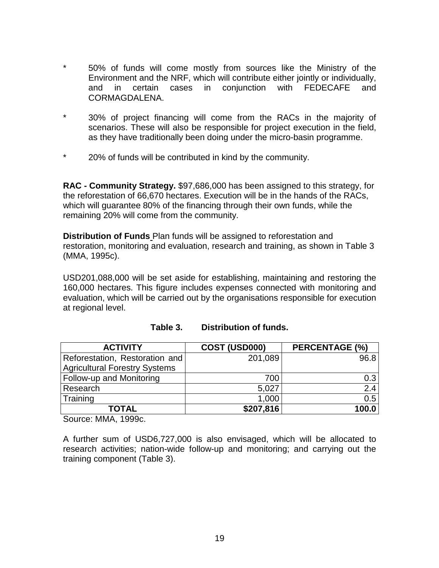- \* 50% of funds will come mostly from sources like the Ministry of the Environment and the NRF, which will contribute either jointly or individually,<br>and in certain cases in conjunction with FEDECAFE and and in certain cases in CORMAGDALENA.
- \* 30% of project financing will come from the RACs in the majority of scenarios. These will also be responsible for project execution in the field, as they have traditionally been doing under the micro-basin programme.
- \* 20% of funds will be contributed in kind by the community.

**RAC - Community Strategy.** \$97,686,000 has been assigned to this strategy, for the reforestation of 66,670 hectares. Execution will be in the hands of the RACs, which will guarantee 80% of the financing through their own funds, while the remaining 20% will come from the community.

**Distribution of Funds** Plan funds will be assigned to reforestation and restoration, monitoring and evaluation, research and training, as shown in Table 3 (MMA, 1995c).

USD201,088,000 will be set aside for establishing, maintaining and restoring the 160,000 hectares. This figure includes expenses connected with monitoring and evaluation, which will be carried out by the organisations responsible for execution at regional level.

| <b>ACTIVITY</b>                 | COST (USD000) | PERCENTAGE (%) |
|---------------------------------|---------------|----------------|
| Reforestation, Restoration and  | 201,089       | 96.8           |
| Agricultural Forestry Systems   |               |                |
| <b>Follow-up and Monitoring</b> | 700           | 0.3            |
| Research                        | 5,027         | 2.4            |
| Training                        | 1,000         | 0.5            |
| TOTAL                           | \$207,816     | 100.0          |

|  | Table 3. | Distribution of funds. |
|--|----------|------------------------|
|--|----------|------------------------|

Source: MMA, 1999c.

A further sum of USD6,727,000 is also envisaged, which will be allocated to research activities; nation-wide follow-up and monitoring; and carrying out the training component (Table 3).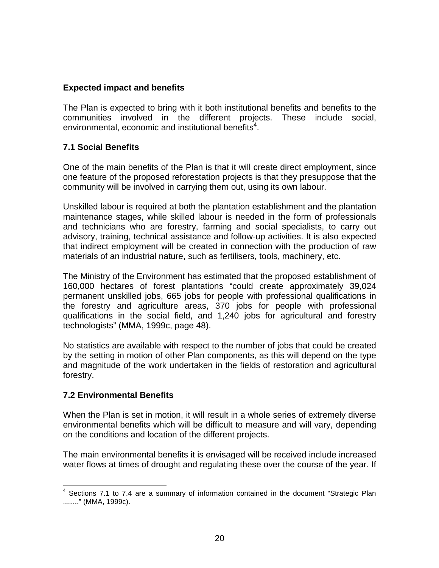# **Expected impact and benefits**

The Plan is expected to bring with it both institutional benefits and benefits to the communities involved in the different projects. These include social, environmental, economic and institutional benefits<sup>4</sup>.

#### **7.1 Social Benefits**

One of the main benefits of the Plan is that it will create direct employment, since one feature of the proposed reforestation projects is that they presuppose that the community will be involved in carrying them out, using its own labour.

Unskilled labour is required at both the plantation establishment and the plantation maintenance stages, while skilled labour is needed in the form of professionals and technicians who are forestry, farming and social specialists, to carry out advisory, training, technical assistance and follow-up activities. It is also expected that indirect employment will be created in connection with the production of raw materials of an industrial nature, such as fertilisers, tools, machinery, etc.

The Ministry of the Environment has estimated that the proposed establishment of 160,000 hectares of forest plantations "could create approximately 39,024 permanent unskilled jobs, 665 jobs for people with professional qualifications in the forestry and agriculture areas, 370 jobs for people with professional qualifications in the social field, and 1,240 jobs for agricultural and forestry technologists" (MMA, 1999c, page 48).

No statistics are available with respect to the number of jobs that could be created by the setting in motion of other Plan components, as this will depend on the type and magnitude of the work undertaken in the fields of restoration and agricultural forestry.

#### **7.2 Environmental Benefits**

When the Plan is set in motion, it will result in a whole series of extremely diverse environmental benefits which will be difficult to measure and will vary, depending on the conditions and location of the different projects.

The main environmental benefits it is envisaged will be received include increased water flows at times of drought and regulating these over the course of the year. If

<sup>&</sup>lt;sup>4</sup> Sections 7.1 to 7.4 are a summary of information contained in the document "Strategic Plan ........" (MMA, 1999c).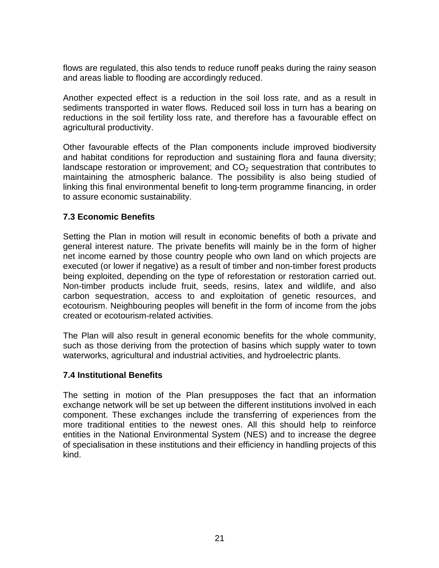flows are regulated, this also tends to reduce runoff peaks during the rainy season and areas liable to flooding are accordingly reduced.

Another expected effect is a reduction in the soil loss rate, and as a result in sediments transported in water flows. Reduced soil loss in turn has a bearing on reductions in the soil fertility loss rate, and therefore has a favourable effect on agricultural productivity.

Other favourable effects of the Plan components include improved biodiversity and habitat conditions for reproduction and sustaining flora and fauna diversity; landscape restoration or improvement; and  $CO<sub>2</sub>$  sequestration that contributes to maintaining the atmospheric balance. The possibility is also being studied of linking this final environmental benefit to long-term programme financing, in order to assure economic sustainability.

#### **7.3 Economic Benefits**

Setting the Plan in motion will result in economic benefits of both a private and general interest nature. The private benefits will mainly be in the form of higher net income earned by those country people who own land on which projects are executed (or lower if negative) as a result of timber and non-timber forest products being exploited, depending on the type of reforestation or restoration carried out. Non-timber products include fruit, seeds, resins, latex and wildlife, and also carbon sequestration, access to and exploitation of genetic resources, and ecotourism. Neighbouring peoples will benefit in the form of income from the jobs created or ecotourism-related activities.

The Plan will also result in general economic benefits for the whole community, such as those deriving from the protection of basins which supply water to town waterworks, agricultural and industrial activities, and hydroelectric plants.

#### **7.4 Institutional Benefits**

The setting in motion of the Plan presupposes the fact that an information exchange network will be set up between the different institutions involved in each component. These exchanges include the transferring of experiences from the more traditional entities to the newest ones. All this should help to reinforce entities in the National Environmental System (NES) and to increase the degree of specialisation in these institutions and their efficiency in handling projects of this kind.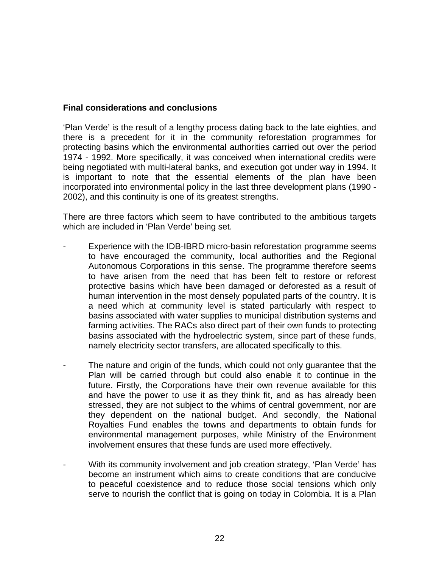#### **Final considerations and conclusions**

'Plan Verde' is the result of a lengthy process dating back to the late eighties, and there is a precedent for it in the community reforestation programmes for protecting basins which the environmental authorities carried out over the period 1974 - 1992. More specifically, it was conceived when international credits were being negotiated with multi-lateral banks, and execution got under way in 1994. It is important to note that the essential elements of the plan have been incorporated into environmental policy in the last three development plans (1990 - 2002), and this continuity is one of its greatest strengths.

There are three factors which seem to have contributed to the ambitious targets which are included in 'Plan Verde' being set.

- Experience with the IDB-IBRD micro-basin reforestation programme seems to have encouraged the community, local authorities and the Regional Autonomous Corporations in this sense. The programme therefore seems to have arisen from the need that has been felt to restore or reforest protective basins which have been damaged or deforested as a result of human intervention in the most densely populated parts of the country. It is a need which at community level is stated particularly with respect to basins associated with water supplies to municipal distribution systems and farming activities. The RACs also direct part of their own funds to protecting basins associated with the hydroelectric system, since part of these funds, namely electricity sector transfers, are allocated specifically to this.
- The nature and origin of the funds, which could not only guarantee that the Plan will be carried through but could also enable it to continue in the future. Firstly, the Corporations have their own revenue available for this and have the power to use it as they think fit, and as has already been stressed, they are not subject to the whims of central government, nor are they dependent on the national budget. And secondly, the National Royalties Fund enables the towns and departments to obtain funds for environmental management purposes, while Ministry of the Environment involvement ensures that these funds are used more effectively.
- With its community involvement and job creation strategy, 'Plan Verde' has become an instrument which aims to create conditions that are conducive to peaceful coexistence and to reduce those social tensions which only serve to nourish the conflict that is going on today in Colombia. It is a Plan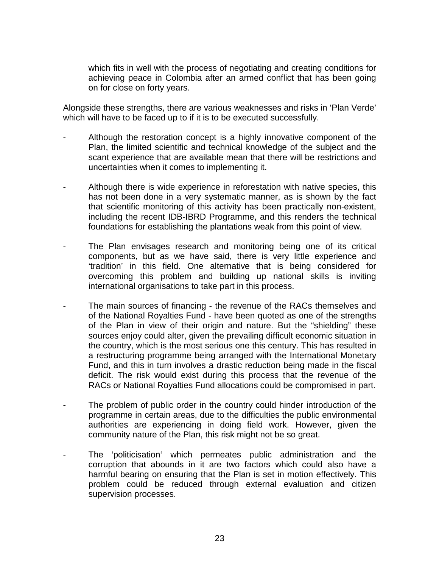which fits in well with the process of negotiating and creating conditions for achieving peace in Colombia after an armed conflict that has been going on for close on forty years.

Alongside these strengths, there are various weaknesses and risks in 'Plan Verde' which will have to be faced up to if it is to be executed successfully.

- Although the restoration concept is a highly innovative component of the Plan, the limited scientific and technical knowledge of the subject and the scant experience that are available mean that there will be restrictions and uncertainties when it comes to implementing it.
- Although there is wide experience in reforestation with native species, this has not been done in a very systematic manner, as is shown by the fact that scientific monitoring of this activity has been practically non-existent, including the recent IDB-IBRD Programme, and this renders the technical foundations for establishing the plantations weak from this point of view.
- The Plan envisages research and monitoring being one of its critical components, but as we have said, there is very little experience and 'tradition' in this field. One alternative that is being considered for overcoming this problem and building up national skills is inviting international organisations to take part in this process.
- The main sources of financing the revenue of the RACs themselves and of the National Royalties Fund - have been quoted as one of the strengths of the Plan in view of their origin and nature. But the "shielding" these sources enjoy could alter, given the prevailing difficult economic situation in the country, which is the most serious one this century. This has resulted in a restructuring programme being arranged with the International Monetary Fund, and this in turn involves a drastic reduction being made in the fiscal deficit. The risk would exist during this process that the revenue of the RACs or National Royalties Fund allocations could be compromised in part.
- The problem of public order in the country could hinder introduction of the programme in certain areas, due to the difficulties the public environmental authorities are experiencing in doing field work. However, given the community nature of the Plan, this risk might not be so great.
- The 'politicisation' which permeates public administration and the corruption that abounds in it are two factors which could also have a harmful bearing on ensuring that the Plan is set in motion effectively. This problem could be reduced through external evaluation and citizen supervision processes.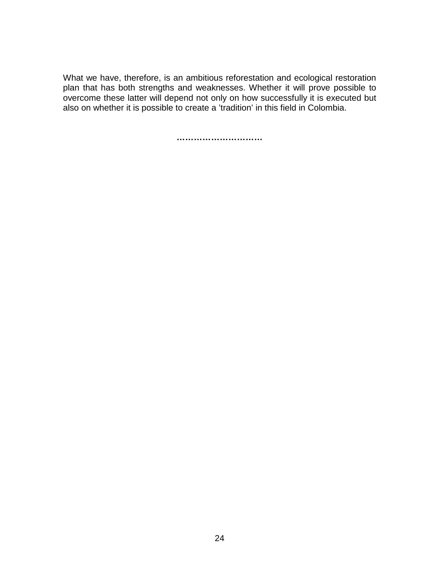What we have, therefore, is an ambitious reforestation and ecological restoration plan that has both strengths and weaknesses. Whether it will prove possible to overcome these latter will depend not only on how successfully it is executed but also on whether it is possible to create a 'tradition' in this field in Colombia.

**…………………………**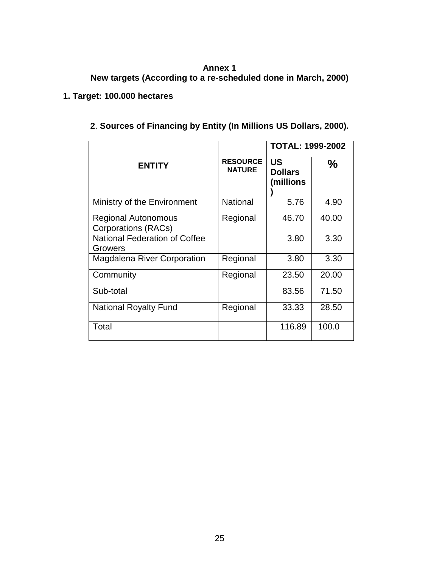# **Annex 1**

**New targets (According to a re-scheduled done in March, 2000)** 

# **1. Target: 100.000 hectares**

| 2. Sources of Financing by Entity (In Millions US Dollars, 2000). |  |  |
|-------------------------------------------------------------------|--|--|
|-------------------------------------------------------------------|--|--|

|                                                 |                                  | <b>TOTAL: 1999-2002</b>           |       |
|-------------------------------------------------|----------------------------------|-----------------------------------|-------|
| <b>ENTITY</b>                                   | <b>RESOURCE</b><br><b>NATURE</b> | US<br><b>Dollars</b><br>(millions | $\%$  |
| Ministry of the Environment                     | <b>National</b>                  | 5.76                              | 4.90  |
| Regional Autonomous<br>Corporations (RACs)      | Regional                         | 46.70                             | 40.00 |
| <b>National Federation of Coffee</b><br>Growers |                                  | 3.80                              | 3.30  |
| <b>Magdalena River Corporation</b>              | Regional                         | 3.80                              | 3.30  |
| Community                                       | Regional                         | 23.50                             | 20.00 |
| Sub-total                                       |                                  | 83.56                             | 71.50 |
| <b>National Royalty Fund</b>                    | Regional                         | 33.33                             | 28.50 |
| Total                                           |                                  | 116.89                            | 100.0 |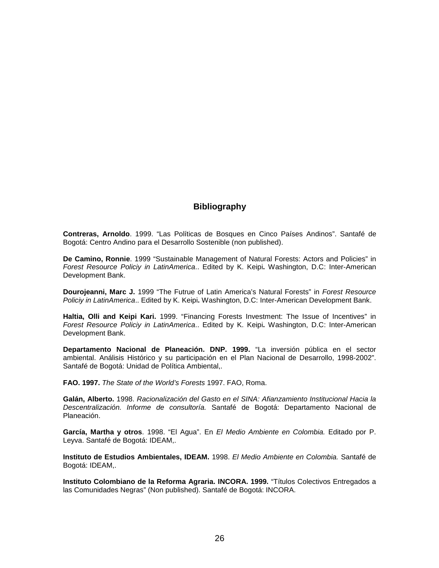#### **Bibliography**

**Contreras, Arnoldo**. 1999. "Las Políticas de Bosques en Cinco Países Andinos". Santafé de Bogotá: Centro Andino para el Desarrollo Sostenible (non published).

**De Camino, Ronnie**. 1999 "Sustainable Management of Natural Forests: Actors and Policies" in *Forest Resource Policiy in LatinAmerica*.. Edited by K. Keipi**.** Washington, D.C: Inter-American Development Bank.

**Dourojeanni, Marc J.** 1999 "The Futrue of Latin America's Natural Forests" in *Forest Resource Policiy in LatinAmerica*.. Edited by K. Keipi**.** Washington, D.C: Inter-American Development Bank.

**Haltia, Olli and Keipi Kari.** 1999. "Financing Forests Investment: The Issue of Incentives" in *Forest Resource Policiy in LatinAmerica*.. Edited by K. Keipi**.** Washington, D.C: Inter-American Development Bank.

**Departamento Nacional de Planeación. DNP. 1999.** "La inversión pública en el sector ambiental. Análisis Histórico y su participación en el Plan Nacional de Desarrollo, 1998-2002". Santafé de Bogotá: Unidad de Política Ambiental,.

**FAO. 1997.** *The State of the World's Forests* 1997. FAO, Roma.

**Galán, Alberto.** 1998. *Racionalización del Gasto en el SINA: Afianzamiento Institucional Hacia la Descentralización. Informe de consultoría.* Santafé de Bogotá: Departamento Nacional de Planeación.

**García, Martha y otros**. 1998. "El Agua". En *El Medio Ambiente en Colombia.* Editado por P. Leyva. Santafé de Bogotá: IDEAM,.

**Instituto de Estudios Ambientales, IDEAM.** 1998. *El Medio Ambiente en Colombia.* Santafé de Bogotá: IDEAM,.

**Instituto Colombiano de la Reforma Agraria. INCORA. 1999.** "Títulos Colectivos Entregados a las Comunidades Negras" (Non published). Santafé de Bogotá: INCORA.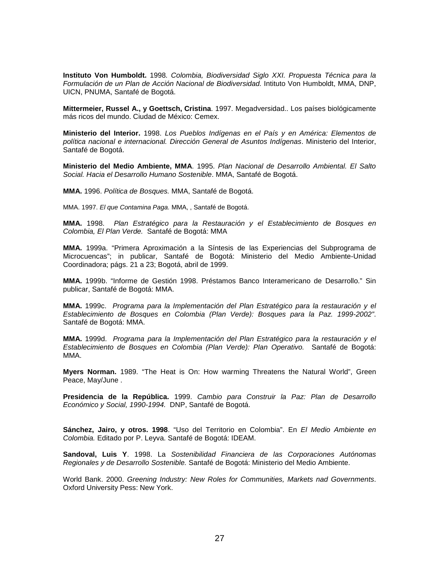**Instituto Von Humboldt.** 1998*. Colombia, Biodiversidad Siglo XXI. Propuesta Técnica para la Formulación de un Plan de Acción Nacional de Biodiversidad.* Intituto Von Humboldt, MMA, DNP, UICN, PNUMA, Santafé de Bogotá.

**Mittermeier, Russel A., y Goettsch, Cristina**. 1997. Megadversidad.. Los países biológicamente más ricos del mundo. Ciudad de México: Cemex.

**Ministerio del Interior.** 1998. *Los Pueblos Indígenas en el País y en América: Elementos de política nacional e internacional. Dirección General de Asuntos Indígenas*. Ministerio del Interior, Santafé de Bogotá.

**Ministerio del Medio Ambiente, MMA**. 1995. *Plan Nacional de Desarrollo Ambiental. El Salto Social. Hacia el Desarrollo Humano Sostenible*. MMA, Santafé de Bogotá.

**MMA.** 1996. *Política de Bosques.* MMA, Santafé de Bogotá.

MMA. 1997. *El que Contamina Paga.* MMA, , Santafé de Bogotá.

**MMA.** 1998. *Plan Estratégico para la Restauración y el Establecimiento de Bosques en Colombia, El Plan Verde.* Santafé de Bogotá: MMA

**MMA.** 1999a. "Primera Aproximación a la Síntesis de las Experiencias del Subprograma de Microcuencas"; in publicar, Santafé de Bogotá: Ministerio del Medio Ambiente-Unidad Coordinadora; págs. 21 a 23; Bogotá, abril de 1999.

**MMA.** 1999b. "Informe de Gestión 1998. Préstamos Banco Interamericano de Desarrollo." Sin publicar, Santafé de Bogotá: MMA.

**MMA.** 1999c. *Programa para la Implementación del Plan Estratégico para la restauración y el Establecimiento de Bosques en Colombia (Plan Verde): Bosques para la Paz. 1999-2002"*. Santafé de Bogotá: MMA.

**MMA.** 1999d. *Programa para la Implementación del Plan Estratégico para la restauración y el Establecimiento de Bosques en Colombia (Plan Verde): Plan Operativo.* Santafé de Bogotá: MMA.

**Myers Norman.** 1989. "The Heat is On: How warming Threatens the Natural World", Green Peace, May/June .

**Presidencia de la República.** 1999. *Cambio para Construir la Paz: Plan de Desarrollo Económico y Social, 1990-1994.* DNP, Santafé de Bogotá.

**Sánchez, Jairo, y otros. 1998**. "Uso del Territorio en Colombia". En *El Medio Ambiente en Colombia.* Editado por P. Leyva. Santafé de Bogotá: IDEAM.

**Sandoval, Luis Y**. 1998. La *Sostenibilidad Financiera de las Corporaciones Autónomas Regionales y de Desarrollo Sostenible.* Santafé de Bogotá: Ministerio del Medio Ambiente.

World Bank. 2000. *Greening Industry: New Roles for Communities, Markets nad Governments*. Oxford University Pess: New York.